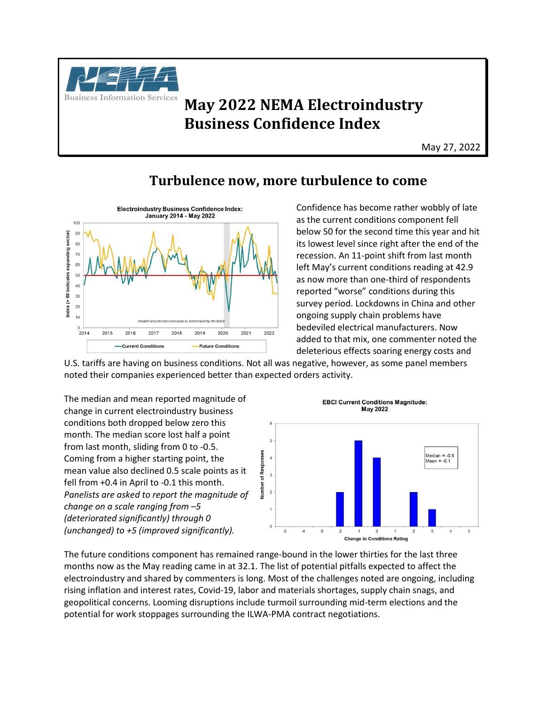

## **Business Information Services May 2022 NEMA Electroindustry Business Confidence Index**

May 27, 2022

## **Turbulence now, more turbulence to come**



Confidence has become rather wobbly of late as the current conditions component fell below 50 for the second time this year and hit its lowest level since right after the end of the recession. An 11-point shift from last month left May's current conditions reading at 42.9 as now more than one-third of respondents reported "worse" conditions during this survey period. Lockdowns in China and other ongoing supply chain problems have bedeviled electrical manufacturers. Now added to that mix, one commenter noted the deleterious effects soaring energy costs and

U.S. tariffs are having on business conditions. Not all was negative, however, as some panel members noted their companies experienced better than expected orders activity.

The median and mean reported magnitude of change in current electroindustry business conditions both dropped below zero this month. The median score lost half a point from last month, sliding from 0 to -0.5. Coming from a higher starting point, the mean value also declined 0.5 scale points as it fell from +0.4 in April to -0.1 this month. *Panelists are asked to report the magnitude of change on a scale ranging from –5 (deteriorated significantly) through 0 (unchanged) to +5 (improved significantly).*



The future conditions component has remained range-bound in the lower thirties for the last three months now as the May reading came in at 32.1. The list of potential pitfalls expected to affect the electroindustry and shared by commenters is long. Most of the challenges noted are ongoing, including rising inflation and interest rates, Covid-19, labor and materials shortages, supply chain snags, and geopolitical concerns. Looming disruptions include turmoil surrounding mid-term elections and the potential for work stoppages surrounding the ILWA-PMA contract negotiations.